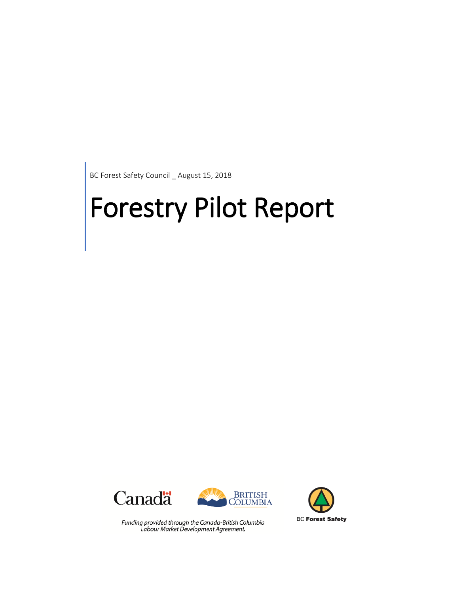BC Forest Safety Council \_ August 15, 2018

# Forestry Pilot Report





Funding provided through the Canada-British Columbia Labour Market Development Agreement.

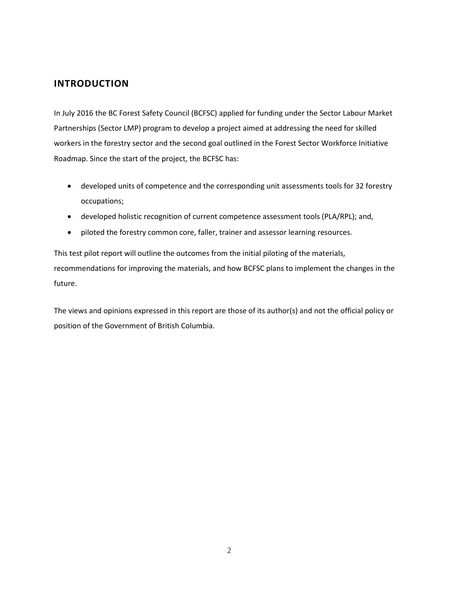# **INTRODUCTION**

In July 2016 the BC Forest Safety Council (BCFSC) applied for funding under the Sector Labour Market Partnerships (Sector LMP) program to develop a project aimed at addressing the need for skilled workers in the forestry sector and the second goal outlined in the Forest Sector Workforce Initiative Roadmap. Since the start of the project, the BCFSC has:

- developed units of competence and the corresponding unit assessments tools for 32 forestry occupations;
- developed holistic recognition of current competence assessment tools (PLA/RPL); and,
- piloted the forestry common core, faller, trainer and assessor learning resources.

This test pilot report will outline the outcomes from the initial piloting of the materials, recommendations for improving the materials, and how BCFSC plans to implement the changes in the future.

The views and opinions expressed in this report are those of its author(s) and not the official policy or position of the Government of British Columbia.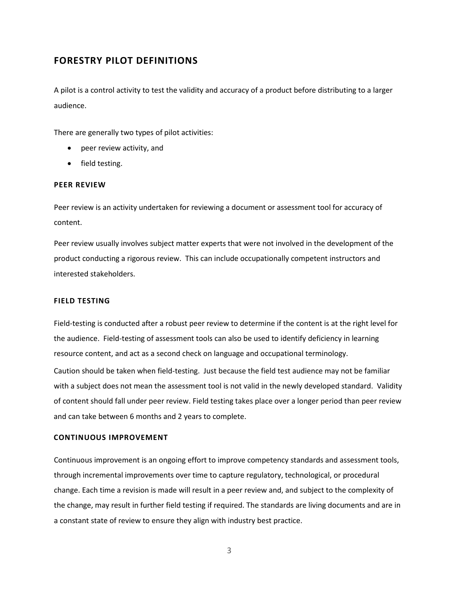# **FORESTRY PILOT DEFINITIONS**

A pilot is a control activity to test the validity and accuracy of a product before distributing to a larger audience.

There are generally two types of pilot activities:

- peer review activity, and
- field testing.

#### **PEER REVIEW**

Peer review is an activity undertaken for reviewing a document or assessment tool for accuracy of content.

Peer review usually involves subject matter experts that were not involved in the development of the product conducting a rigorous review. This can include occupationally competent instructors and interested stakeholders.

## **FIELD TESTING**

Field-testing is conducted after a robust peer review to determine if the content is at the right level for the audience. Field-testing of assessment tools can also be used to identify deficiency in learning resource content, and act as a second check on language and occupational terminology.

Caution should be taken when field-testing. Just because the field test audience may not be familiar with a subject does not mean the assessment tool is not valid in the newly developed standard. Validity of content should fall under peer review. Field testing takes place over a longer period than peer review and can take between 6 months and 2 years to complete.

## **CONTINUOUS IMPROVEMENT**

Continuous improvement is an ongoing effort to improve competency standards and assessment tools, through incremental improvements over time to capture regulatory, technological, or procedural change. Each time a revision is made will result in a peer review and, and subject to the complexity of the change, may result in further field testing if required. The standards are living documents and are in a constant state of review to ensure they align with industry best practice.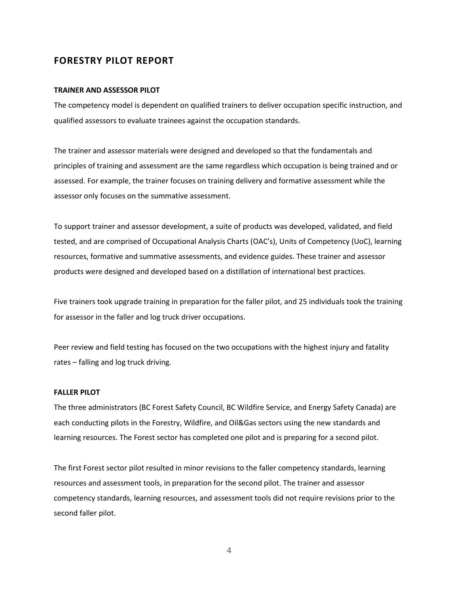## **FORESTRY PILOT REPORT**

#### **TRAINER AND ASSESSOR PILOT**

The competency model is dependent on qualified trainers to deliver occupation specific instruction, and qualified assessors to evaluate trainees against the occupation standards.

The trainer and assessor materials were designed and developed so that the fundamentals and principles of training and assessment are the same regardless which occupation is being trained and or assessed. For example, the trainer focuses on training delivery and formative assessment while the assessor only focuses on the summative assessment.

To support trainer and assessor development, a suite of products was developed, validated, and field tested, and are comprised of Occupational Analysis Charts (OAC's), Units of Competency (UoC), learning resources, formative and summative assessments, and evidence guides. These trainer and assessor products were designed and developed based on a distillation of international best practices.

Five trainers took upgrade training in preparation for the faller pilot, and 25 individuals took the training for assessor in the faller and log truck driver occupations.

Peer review and field testing has focused on the two occupations with the highest injury and fatality rates – falling and log truck driving.

#### **FALLER PILOT**

The three administrators (BC Forest Safety Council, BC Wildfire Service, and Energy Safety Canada) are each conducting pilots in the Forestry, Wildfire, and Oil&Gas sectors using the new standards and learning resources. The Forest sector has completed one pilot and is preparing for a second pilot.

The first Forest sector pilot resulted in minor revisions to the faller competency standards, learning resources and assessment tools, in preparation for the second pilot. The trainer and assessor competency standards, learning resources, and assessment tools did not require revisions prior to the second faller pilot.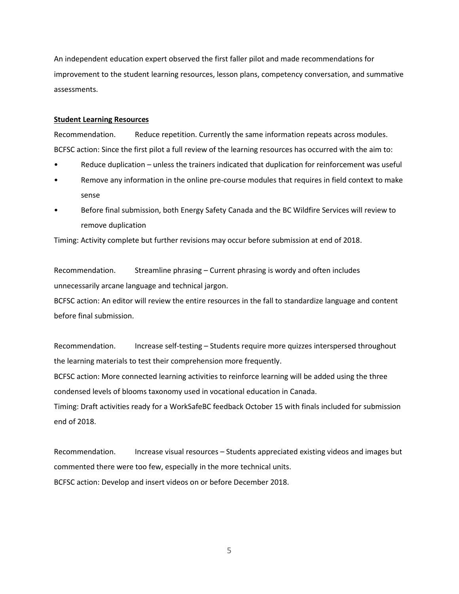An independent education expert observed the first faller pilot and made recommendations for improvement to the student learning resources, lesson plans, competency conversation, and summative assessments.

#### **Student Learning Resources**

Recommendation. Reduce repetition. Currently the same information repeats across modules. BCFSC action: Since the first pilot a full review of the learning resources has occurred with the aim to:

- Reduce duplication unless the trainers indicated that duplication for reinforcement was useful
- Remove any information in the online pre-course modules that requires in field context to make sense
- Before final submission, both Energy Safety Canada and the BC Wildfire Services will review to remove duplication

Timing: Activity complete but further revisions may occur before submission at end of 2018.

Recommendation. Streamline phrasing – Current phrasing is wordy and often includes unnecessarily arcane language and technical jargon.

BCFSC action: An editor will review the entire resources in the fall to standardize language and content before final submission.

Recommendation. Increase self-testing – Students require more quizzes interspersed throughout the learning materials to test their comprehension more frequently.

BCFSC action: More connected learning activities to reinforce learning will be added using the three condensed levels of blooms taxonomy used in vocational education in Canada.

Timing: Draft activities ready for a WorkSafeBC feedback October 15 with finals included for submission end of 2018.

Recommendation. Increase visual resources – Students appreciated existing videos and images but commented there were too few, especially in the more technical units. BCFSC action: Develop and insert videos on or before December 2018.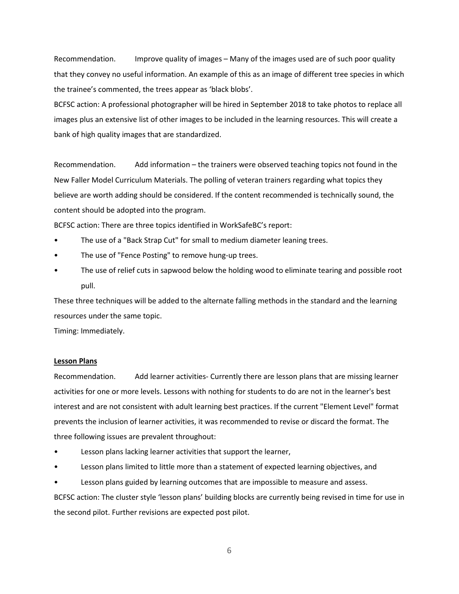Recommendation. Improve quality of images – Many of the images used are of such poor quality that they convey no useful information. An example of this as an image of different tree species in which the trainee's commented, the trees appear as 'black blobs'.

BCFSC action: A professional photographer will be hired in September 2018 to take photos to replace all images plus an extensive list of other images to be included in the learning resources. This will create a bank of high quality images that are standardized.

Recommendation. Add information – the trainers were observed teaching topics not found in the New Faller Model Curriculum Materials. The polling of veteran trainers regarding what topics they believe are worth adding should be considered. If the content recommended is technically sound, the content should be adopted into the program.

BCFSC action: There are three topics identified in WorkSafeBC's report:

- The use of a "Back Strap Cut" for small to medium diameter leaning trees.
- The use of "Fence Posting" to remove hung-up trees.
- The use of relief cuts in sapwood below the holding wood to eliminate tearing and possible root pull.

These three techniques will be added to the alternate falling methods in the standard and the learning resources under the same topic.

Timing: Immediately.

#### **Lesson Plans**

Recommendation. Add learner activities- Currently there are lesson plans that are missing learner activities for one or more levels. Lessons with nothing for students to do are not in the learner's best interest and are not consistent with adult learning best practices. If the current "Element Level" format prevents the inclusion of learner activities, it was recommended to revise or discard the format. The three following issues are prevalent throughout:

- Lesson plans lacking learner activities that support the learner,
- Lesson plans limited to little more than a statement of expected learning objectives, and
- Lesson plans guided by learning outcomes that are impossible to measure and assess.

BCFSC action: The cluster style 'lesson plans' building blocks are currently being revised in time for use in the second pilot. Further revisions are expected post pilot.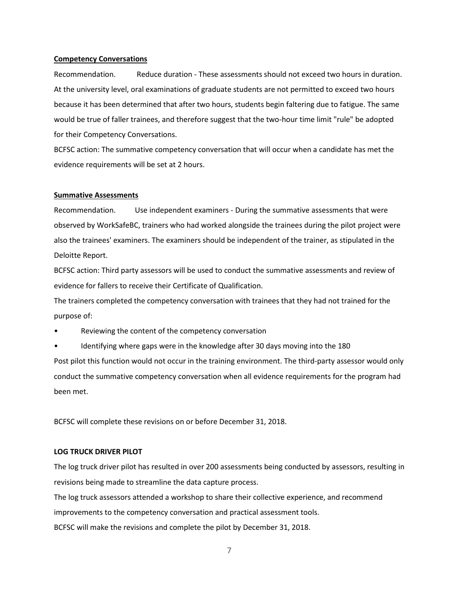#### **Competency Conversations**

Recommendation. Reduce duration - These assessments should not exceed two hours in duration. At the university level, oral examinations of graduate students are not permitted to exceed two hours because it has been determined that after two hours, students begin faltering due to fatigue. The same would be true of faller trainees, and therefore suggest that the two-hour time limit "rule" be adopted for their Competency Conversations.

BCFSC action: The summative competency conversation that will occur when a candidate has met the evidence requirements will be set at 2 hours.

#### **Summative Assessments**

Recommendation. Use independent examiners - During the summative assessments that were observed by WorkSafeBC, trainers who had worked alongside the trainees during the pilot project were also the trainees' examiners. The examiners should be independent of the trainer, as stipulated in the Deloitte Report.

BCFSC action: Third party assessors will be used to conduct the summative assessments and review of evidence for fallers to receive their Certificate of Qualification.

The trainers completed the competency conversation with trainees that they had not trained for the purpose of:

Reviewing the content of the competency conversation

Identifying where gaps were in the knowledge after 30 days moving into the 180 Post pilot this function would not occur in the training environment. The third-party assessor would only

conduct the summative competency conversation when all evidence requirements for the program had been met.

BCFSC will complete these revisions on or before December 31, 2018.

### **LOG TRUCK DRIVER PILOT**

The log truck driver pilot has resulted in over 200 assessments being conducted by assessors, resulting in revisions being made to streamline the data capture process.

The log truck assessors attended a workshop to share their collective experience, and recommend improvements to the competency conversation and practical assessment tools. BCFSC will make the revisions and complete the pilot by December 31, 2018.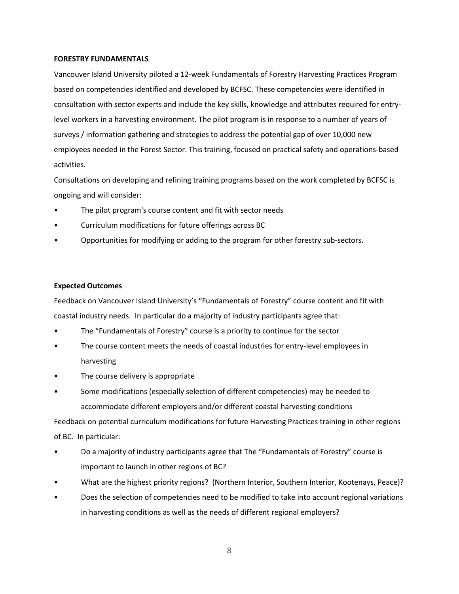### **FORESTRY FUNDAMENTALS**

Vancouver Island University piloted a 12-week Fundamentals of Forestry Harvesting Practices Program based on competencies identified and developed by BCFSC. These competencies were identified in consultation with sector experts and include the key skills, knowledge and attributes required for entrylevel workers in a harvesting environment. The pilot program is in response to a number of years of surveys / information gathering and strategies to address the potential gap of over 10,000 new employees needed in the Forest Sector. This training, focused on practical safety and operations-based activities.

Consultations on developing and refining training programs based on the work completed by BCFSC is ongoing and will consider:

- The pilot program's course content and fit with sector needs
- Curriculum modifications for future offerings across BC
- Opportunities for modifying or adding to the program for other forestry sub-sectors.

## **Expected Outcomes**

Feedback on Vancouver Island University's "Fundamentals of Forestry" course content and fit with coastal industry needs. In particular do a majority of industry participants agree that:

- The "Fundamentals of Forestry" course is a priority to continue for the sector
- The course content meets the needs of coastal industries for entry-level employees in harvesting
- The course delivery is appropriate
- Some modifications (especially selection of different competencies) may be needed to accommodate different employers and/or different coastal harvesting conditions

Feedback on potential curriculum modifications for future Harvesting Practices training in other regions of BC. In particular:

- Do a majority of industry participants agree that The "Fundamentals of Forestry" course is important to launch in other regions of BC?
- What are the highest priority regions? (Northern Interior, Southern Interior, Kootenays, Peace)?
- Does the selection of competencies need to be modified to take into account regional variations in harvesting conditions as well as the needs of different regional employers?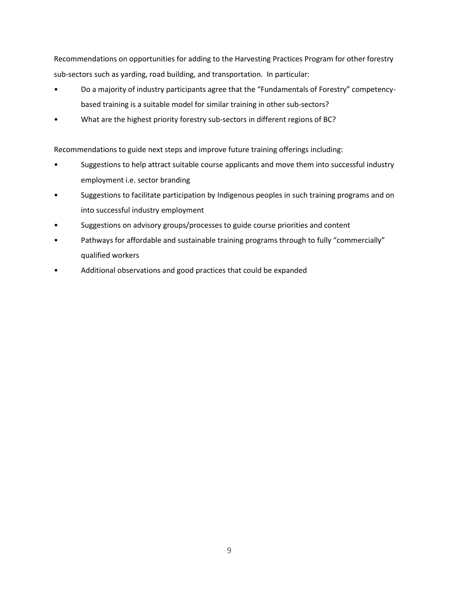Recommendations on opportunities for adding to the Harvesting Practices Program for other forestry sub-sectors such as yarding, road building, and transportation. In particular:

- Do a majority of industry participants agree that the "Fundamentals of Forestry" competencybased training is a suitable model for similar training in other sub-sectors?
- What are the highest priority forestry sub-sectors in different regions of BC?

Recommendations to guide next steps and improve future training offerings including:

- Suggestions to help attract suitable course applicants and move them into successful industry employment i.e. sector branding
- Suggestions to facilitate participation by Indigenous peoples in such training programs and on into successful industry employment
- Suggestions on advisory groups/processes to guide course priorities and content
- Pathways for affordable and sustainable training programs through to fully "commercially" qualified workers
- Additional observations and good practices that could be expanded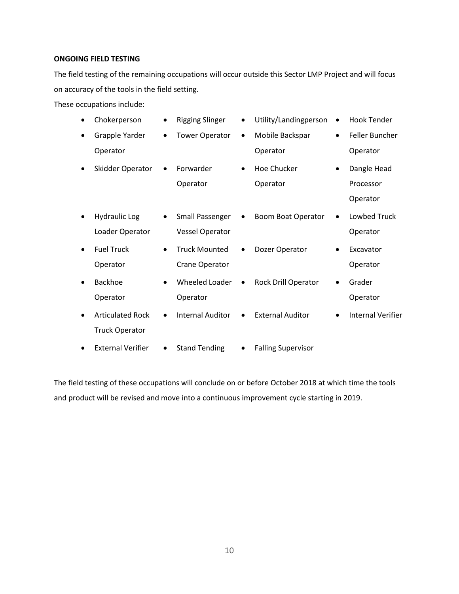## **ONGOING FIELD TESTING**

The field testing of the remaining occupations will occur outside this Sector LMP Project and will focus on accuracy of the tools in the field setting.

These occupations include:

|           | Chokerperson             |           | <b>Rigging Slinger</b>  |           | Utility/Landingperson     | $\bullet$ | <b>Hook Tender</b>       |
|-----------|--------------------------|-----------|-------------------------|-----------|---------------------------|-----------|--------------------------|
| $\bullet$ | Grapple Yarder           | $\bullet$ | <b>Tower Operator</b>   | $\bullet$ | Mobile Backspar           | $\bullet$ | Feller Buncher           |
|           | Operator                 |           |                         |           | Operator                  |           | Operator                 |
|           | Skidder Operator         |           | Forwarder               | $\bullet$ | Hoe Chucker               |           | Dangle Head              |
|           |                          |           | Operator                |           | Operator                  |           | Processor                |
|           |                          |           |                         |           |                           |           | Operator                 |
|           | <b>Hydraulic Log</b>     | $\bullet$ | <b>Small Passenger</b>  |           | <b>Boom Boat Operator</b> |           | Lowbed Truck             |
|           | Loader Operator          |           | <b>Vessel Operator</b>  |           |                           |           | Operator                 |
| $\bullet$ | <b>Fuel Truck</b>        | $\bullet$ | <b>Truck Mounted</b>    |           | Dozer Operator            | ٠         | Excavator                |
|           | Operator                 |           | Crane Operator          |           |                           |           | Operator                 |
|           | <b>Backhoe</b>           | $\bullet$ | Wheeled Loader          |           | Rock Drill Operator       |           | Grader                   |
|           | Operator                 |           | Operator                |           |                           |           | Operator                 |
|           | <b>Articulated Rock</b>  | $\bullet$ | <b>Internal Auditor</b> |           | <b>External Auditor</b>   |           | <b>Internal Verifier</b> |
|           | <b>Truck Operator</b>    |           |                         |           |                           |           |                          |
|           | <b>External Verifier</b> | ٠         | <b>Stand Tending</b>    | ٠         | <b>Falling Supervisor</b> |           |                          |

The field testing of these occupations will conclude on or before October 2018 at which time the tools and product will be revised and move into a continuous improvement cycle starting in 2019.